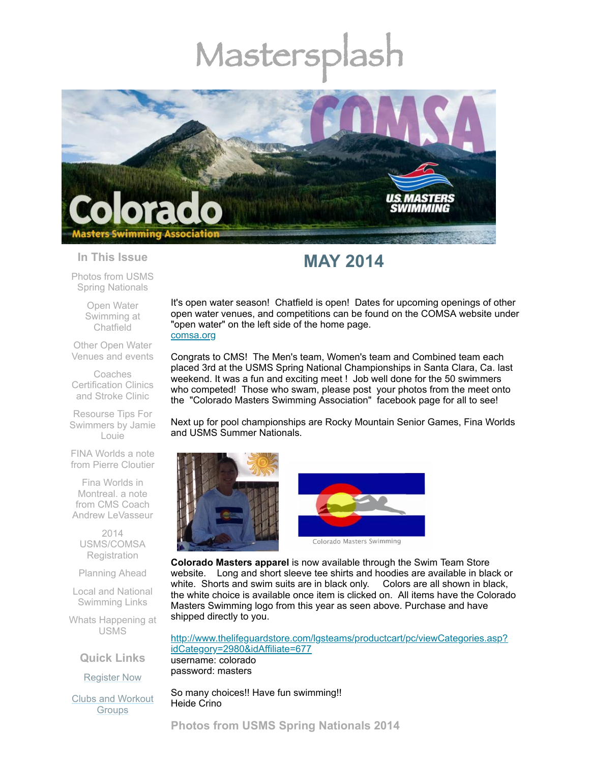# Mastersp



#### **In This Issue**

Photos from USMS Spring [Nationals](#page-0-0)

> Open Water [Swimming](#page-1-0) at Chatfield

Other Open Water [Venues](#page-2-0) and events

Coaches [Certification](#page-3-0) Clinics and Stroke Clinic

Resourse Tips For [Swimmers](#page-5-0) by Jamie Louie

FINA Worlds a note from Pierre [Cloutier](#page-6-0)

Fina Worlds in Montreal. a note from CMS Coach Andrew [LeVasseur](#page-7-0)

2014 [USMS/COMSA](#page-7-1) **Registration** 

[Planning](#page-8-0) Ahead

Local and National [Swimming](#page-8-1) Links

Whats [Happening](#page-8-2) at USMS

**Quick Links**

[Register](http://comsa.org/joining/index.html) Now

Clubs and [Workout](http://comsa.org/clubs/index.html) **Groups** 

# **MAY 2014**

It's open water season! Chatfield is open! Dates for upcoming openings of other open water venues, and competitions can be found on the COMSA website under "open water" on the left side of the home page. [comsa.org](http://comsa.org/)

Congrats to CMS! The Men's team, Women's team and Combined team each placed 3rd at the USMS Spring National Championships in Santa Clara, Ca. last weekend. It was a fun and exciting meet ! Job well done for the 50 swimmers who competed! Those who swam, please post your photos from the meet onto the "Colorado Masters Swimming Association" facebook page for all to see!

Next up for pool championships are Rocky Mountain Senior Games, Fina Worlds and USMS Summer Nationals.





**Colorado Masters apparel** is now available through the Swim Team Store website. Long and short sleeve tee shirts and hoodies are available in black or white. Shorts and swim suits are in black only. Colors are all shown in black, the white choice is available once item is clicked on. All items have the Colorado Masters Swimming logo from this year as seen above. Purchase and have shipped directly to you.

[http://www.thelifeguardstore.com/lgsteams/productcart/pc/viewCategories.asp?](http://www.thelifeguardstore.com/lgsteams/productcart/pc/viewCategories.asp?idCategory=2980&idAffiliate=677) idCategory=2980&idAffiliate=677 username: colorado password: masters

<span id="page-0-0"></span>So many choices!! Have fun swimming!! Heide Crino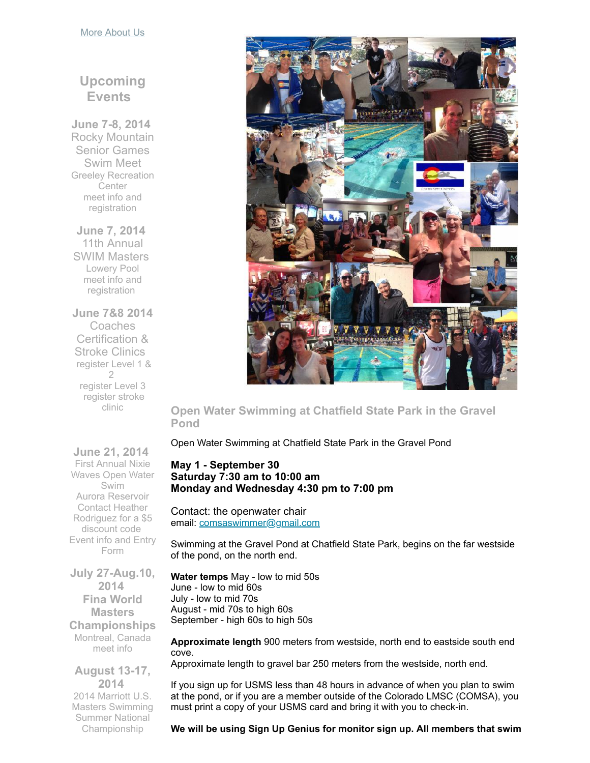#### More [About](http://comsa.org/) Us

# **Upcoming Events**

**June 7-8, 2014** Rocky Mountain Senior Games Swim Meet Greeley Recreation **Center** meet info and [registration](http://rockymountainseniorgames.com/registration.html)

**June 7, 2014** 11th Annual SWIM Masters Lowery Pool meet info and [registration](http://www.comsa.org/events/2014%20pool/2014SWMMastersInvite.pdf?c=1279&smid=5102)

**June 7&8 2014** Coaches Certification & Stroke Clinics [register](https://www.clubassistant.com/club/clinics/reserve.cfm?c=1758&cid=60899) Level 1 & 2 [register](https://www.clubassistant.com/club/clinics/reserve.cfm?c=1758&cid=60900) Level 3 [register](https://www.clubassistant.com/club/clinics/reserve.cfm?c=1758&cid=61324) stroke clinic



<span id="page-1-0"></span>**Open Water Swimming at Chatfield State Park in the Gravel Pond**

Open Water Swimming at Chatfield State Park in the Gravel Pond

# **May 1 - September 30 Saturday 7:30 am to 10:00 am Monday and Wednesday 4:30 pm to 7:00 pm**

Contact: the openwater chair email: [comsaswimmer@gmail.com](mailto:comsaswimmer@gmail.com)

Swimming at the Gravel Pond at Chatfield State Park, begins on the far westside of the pond, on the north end.

**Water temps** May - low to mid 50s June - low to mid 60s July - low to mid 70s August - mid 70s to high 60s September - high 60s to high 50s

**Approximate length** 900 meters from westside, north end to eastside south end cove.

Approximate length to gravel bar 250 meters from the westside, north end.

If you sign up for USMS less than 48 hours in advance of when you plan to swim at the pond, or if you are a member outside of the Colorado LMSC (COMSA), you must print a copy of your USMS card and bring it with you to check-in.

**We will be using Sign Up Genius for monitor sign up. All members that swim**

**June 21, 2014** First Annual Nixie Waves Open Water Swim Aurora Reservoir Contact Heather [Rodriguez](mailto:1969mermaid@gmail.com) for a \$5 discount code [Event](http://www.active.com/aurora-co/water-sports/swimming/nixie-waves-open-water-swim-2014) info and Entry Form

**July 27-Aug.10, 2014 Fina World Masters Championships** Montreal, Canada [meet](http://finamasters2014.org/home/) info

**August 13-17, 2014** 2014 Marriott U.S. Masters Swimming Summer National Championship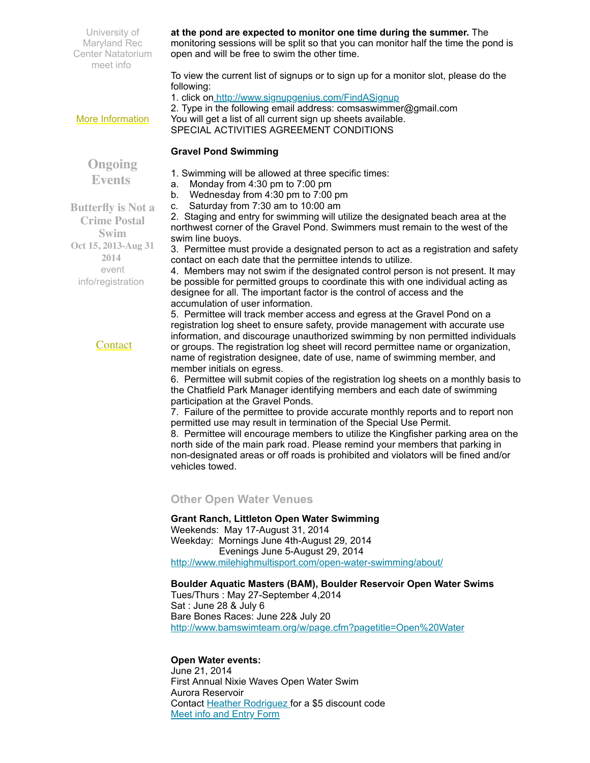University of Maryland Rec Center Natatorium [meet](http://www.usms.org/comp/lcnats14/) info

**at the pond are expected to monitor one time during the summer.** The

monitoring sessions will be split so that you can monitor half the time the pond is open and will be free to swim the other time.

To view the current list of signups or to sign up for a monitor slot, please do the following:

1. click on <http://www.signupgenius.com/FindASignup>

2. Type in the following email address: comsaswimmer@gmail.com You will get a list of all current sign up sheets available. SPECIAL ACTIVITIES AGREEMENT CONDITIONS

# **Gravel Pond Swimming**

**Ongoing Events**

More [Information](http://www.comsa.org/)

**Butterfly is Not a Crime Postal Swim Oct 15, 2013-Aug 31 2014** event [info/registration](http://swimflyfast.com/)

# **[Contact](mailto:heidecrino@gmail.com?)**

1. Swimming will be allowed at three specific times:

- a. Monday from 4:30 pm to 7:00 pm
- b. Wednesday from 4:30 pm to 7:00 pm
- c. Saturday from 7:30 am to 10:00 am

2. Staging and entry for swimming will utilize the designated beach area at the northwest corner of the Gravel Pond. Swimmers must remain to the west of the swim line buoys.

3. Permittee must provide a designated person to act as a registration and safety contact on each date that the permittee intends to utilize.

4. Members may not swim if the designated control person is not present. It may be possible for permitted groups to coordinate this with one individual acting as designee for all. The important factor is the control of access and the accumulation of user information.

5. Permittee will track member access and egress at the Gravel Pond on a registration log sheet to ensure safety, provide management with accurate use information, and discourage unauthorized swimming by non permitted individuals or groups. The registration log sheet will record permittee name or organization, name of registration designee, date of use, name of swimming member, and member initials on egress.

6. Permittee will submit copies of the registration log sheets on a monthly basis to the Chatfield Park Manager identifying members and each date of swimming participation at the Gravel Ponds.

7. Failure of the permittee to provide accurate monthly reports and to report non permitted use may result in termination of the Special Use Permit.

8. Permittee will encourage members to utilize the Kingfisher parking area on the north side of the main park road. Please remind your members that parking in non-designated areas or off roads is prohibited and violators will be fined and/or vehicles towed.

# <span id="page-2-0"></span>**Other Open Water Venues**

# **Grant Ranch, Littleton Open Water Swimming**

Weekends: May 17-August 31, 2014 Weekday: Mornings June 4th-August 29, 2014 Evenings June 5-August 29, 2014 <http://www.milehighmultisport.com/open-water-swimming/about/>

# **Boulder Aquatic Masters (BAM), Boulder Reservoir Open Water Swims**

Tues/Thurs : May 27-September 4,2014 Sat : June 28 & July 6 Bare Bones Races: June 22& July 20 <http://www.bamswimteam.org/w/page.cfm?pagetitle=Open%20Water>

# **Open Water events:**

June 21, 2014 First Annual Nixie Waves Open Water Swim Aurora Reservoir Contact Heather [Rodriguez](mailto:1969mermaid@gmail.com) for a \$5 discount code Meet info and [Entry](http://www.active.com/aurora-co/water-sports/swimming/nixie-waves-open-water-swim-2014) Form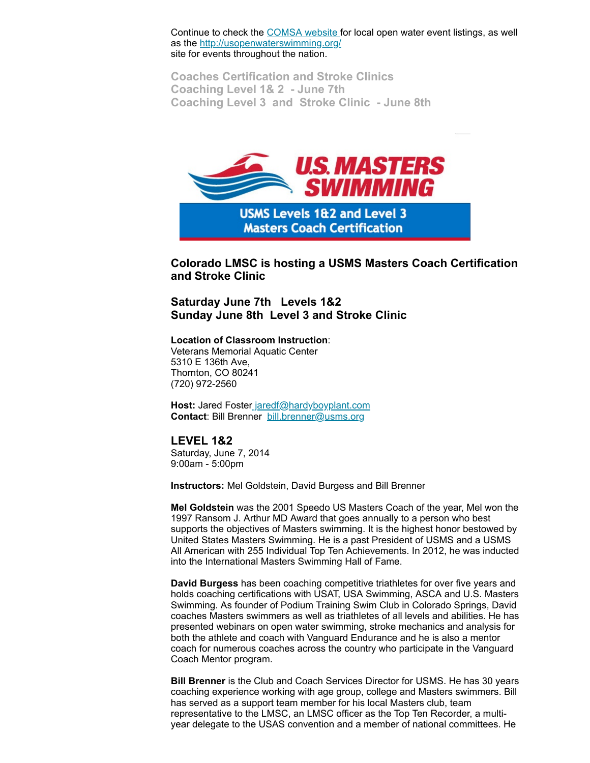Continue to check the [COMSA](http://www.comsa.org/openwater.html) website for local open water event listings, as well as the [http://usopenwaterswimming.org/](http://usopenwaterswimming.org/%20) site for events throughout the nation.

<span id="page-3-0"></span>**Coaches Certification and Stroke Clinics Coaching Level 1& 2 - June 7th Coaching Level 3 and Stroke Clinic - June 8th**



**Colorado LMSC is hosting a USMS Masters Coach Certification and Stroke Clinic** 

**Saturday June 7th Levels 1&2 Sunday June 8th Level 3 and Stroke Clinic**

**Location of Classroom Instruction**:

Veterans Memorial Aquatic Center 5310 E 136th Ave, Thornton, CO 80241 (720) 972-2560

Host: Jared Foster [jaredf@hardyboyplant.com](mailto:jaredf@hardyboyplant.com) **Contact**: Bill Brenner [bill.brenner@usms.org](mailto:bill.brenner@usms.org)

# **LEVEL 1&2**

Saturday, June 7, 2014 9:00am - 5:00pm

**Instructors:** Mel Goldstein, David Burgess and Bill Brenner

**Mel Goldstein** was the 2001 Speedo US Masters Coach of the year, Mel won the 1997 Ransom J. Arthur MD Award that goes annually to a person who best supports the objectives of Masters swimming. It is the highest honor bestowed by United States Masters Swimming. He is a past President of USMS and a USMS All American with 255 Individual Top Ten Achievements. In 2012, he was inducted into the International Masters Swimming Hall of Fame.

**David Burgess** has been coaching competitive triathletes for over five years and holds coaching certifications with USAT, USA Swimming, ASCA and U.S. Masters Swimming. As founder of Podium Training Swim Club in Colorado Springs, David coaches Masters swimmers as well as triathletes of all levels and abilities. He has presented webinars on open water swimming, stroke mechanics and analysis for both the athlete and coach with Vanguard Endurance and he is also a mentor coach for numerous coaches across the country who participate in the Vanguard Coach Mentor program.

**Bill Brenner** is the Club and Coach Services Director for USMS. He has 30 years coaching experience working with age group, college and Masters swimmers. Bill has served as a support team member for his local Masters club, team representative to the LMSC, an LMSC officer as the Top Ten Recorder, a multiyear delegate to the USAS convention and a member of national committees. He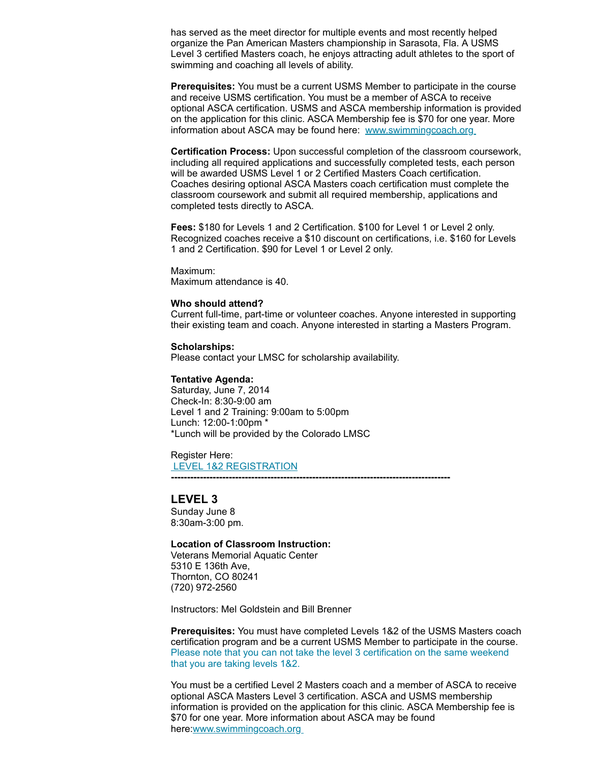has served as the meet director for multiple events and most recently helped organize the Pan American Masters championship in Sarasota, Fla. A USMS Level 3 certified Masters coach, he enjoys attracting adult athletes to the sport of swimming and coaching all levels of ability.

**Prerequisites:** You must be a current USMS Member to participate in the course and receive USMS certification. You must be a member of ASCA to receive optional ASCA certification. USMS and ASCA membership information is provided on the application for this clinic. ASCA Membership fee is \$70 for one year. More information about ASCA may be found here: [www.swimmingcoach.org](http://www.swimmingcoach.org/)

**Certification Process:** Upon successful completion of the classroom coursework, including all required applications and successfully completed tests, each person will be awarded USMS Level 1 or 2 Certified Masters Coach certification. Coaches desiring optional ASCA Masters coach certification must complete the classroom coursework and submit all required membership, applications and completed tests directly to ASCA.

**Fees:** \$180 for Levels 1 and 2 Certification. \$100 for Level 1 or Level 2 only. Recognized coaches receive a \$10 discount on certifications, i.e. \$160 for Levels 1 and 2 Certification. \$90 for Level 1 or Level 2 only.

Maximum:

Maximum attendance is 40.

#### **Who should attend?**

Current full-time, part-time or volunteer coaches. Anyone interested in supporting their existing team and coach. Anyone interested in starting a Masters Program.

**Scholarships:** Please contact your LMSC for scholarship availability.

#### **Tentative Agenda:**

Saturday, June 7, 2014 Check-In: 8:30-9:00 am Level 1 and 2 Training: 9:00am to 5:00pm Lunch: 12:00-1:00pm \* \*Lunch will be provided by the Colorado LMSC

Register Here: LEVEL 1&2 [REGISTRATION](https://www.clubassistant.com/club/clinics/reserve.cfm?c=1758&cid=60899)

**---------------------------------------------------------------------------------------**

# **LEVEL 3**

Sunday June 8 8:30am-3:00 pm.

#### **Location of Classroom Instruction:**

Veterans Memorial Aquatic Center 5310 E 136th Ave, Thornton, CO 80241 (720) 972-2560

Instructors: Mel Goldstein and Bill Brenner

**Prerequisites:** You must have completed Levels 1&2 of the USMS Masters coach certification program and be a current USMS Member to participate in the course. Please note that you can not take the level 3 certification on the same weekend that you are taking levels 1&2.

You must be a certified Level 2 Masters coach and a member of ASCA to receive optional ASCA Masters Level 3 certification. ASCA and USMS membership information is provided on the application for this clinic. ASCA Membership fee is \$70 for one year. More information about ASCA may be found here[:www.swimmingcoach.org](http://www.swimmingcoach.org/)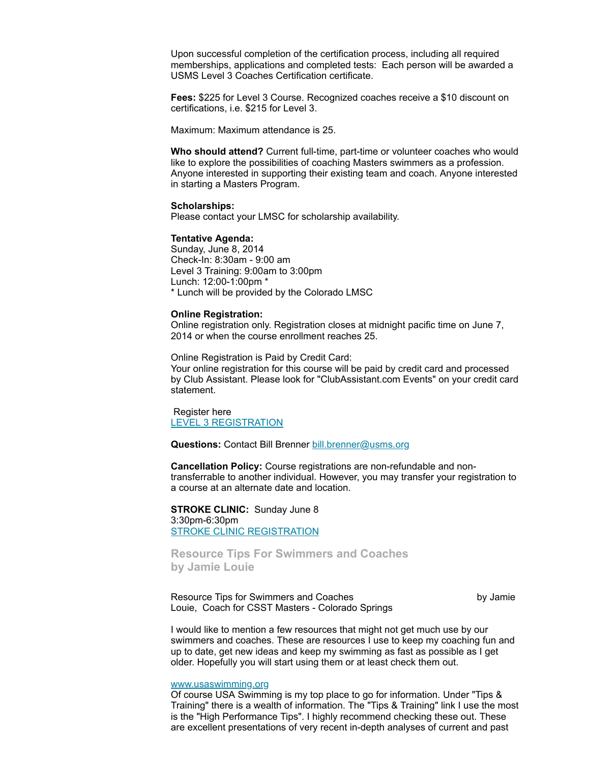Upon successful completion of the certification process, including all required memberships, applications and completed tests: Each person will be awarded a USMS Level 3 Coaches Certification certificate.

**Fees:** \$225 for Level 3 Course. Recognized coaches receive a \$10 discount on certifications, i.e. \$215 for Level 3.

Maximum: Maximum attendance is 25.

**Who should attend?** Current full-time, part-time or volunteer coaches who would like to explore the possibilities of coaching Masters swimmers as a profession. Anyone interested in supporting their existing team and coach. Anyone interested in starting a Masters Program.

#### **Scholarships:**

Please contact your LMSC for scholarship availability.

#### **Tentative Agenda:**

Sunday, June 8, 2014 Check-In: 8:30am - 9:00 am Level 3 Training: 9:00am to 3:00pm Lunch: 12:00-1:00pm \* \* Lunch will be provided by the Colorado LMSC

#### **Online Registration:**

Online registration only. Registration closes at midnight pacific time on June 7, 2014 or when the course enrollment reaches 25.

Online Registration is Paid by Credit Card:

Your online registration for this course will be paid by credit card and processed by Club Assistant. Please look for "ClubAssistant.com Events" on your credit card statement.

Register here LEVEL 3 [REGISTRATION](https://www.clubassistant.com/club/clinics/reserve.cfm?c=1758&cid=60900)

**Questions:** Contact Bill Brenner [bill.brenner@usms.org](mailto:bill.brenner@usms.org)

**Cancellation Policy:** Course registrations are non-refundable and nontransferrable to another individual. However, you may transfer your registration to a course at an alternate date and location.

**STROKE CLINIC:** Sunday June 8 3:30pm-6:30pm STROKE CLINIC [REGISTRATION](https://www.clubassistant.com/club/clinics/reserve.cfm?c=1758&cid=61324)

<span id="page-5-0"></span>**Resource Tips For Swimmers and Coaches by Jamie Louie**

Resource Tips for Swimmers and Coaches by Jamie by Jamie Louie, Coach for CSST Masters - Colorado Springs

I would like to mention a few resources that might not get much use by our swimmers and coaches. These are resources I use to keep my coaching fun and up to date, get new ideas and keep my swimming as fast as possible as I get older. Hopefully you will start using them or at least check them out.

#### [www.usaswimming.org](http://www.usaswimming.org/)

Of course USA Swimming is my top place to go for information. Under "Tips & Training" there is a wealth of information. The "Tips & Training" link I use the most is the "High Performance Tips". I highly recommend checking these out. These are excellent presentations of very recent in-depth analyses of current and past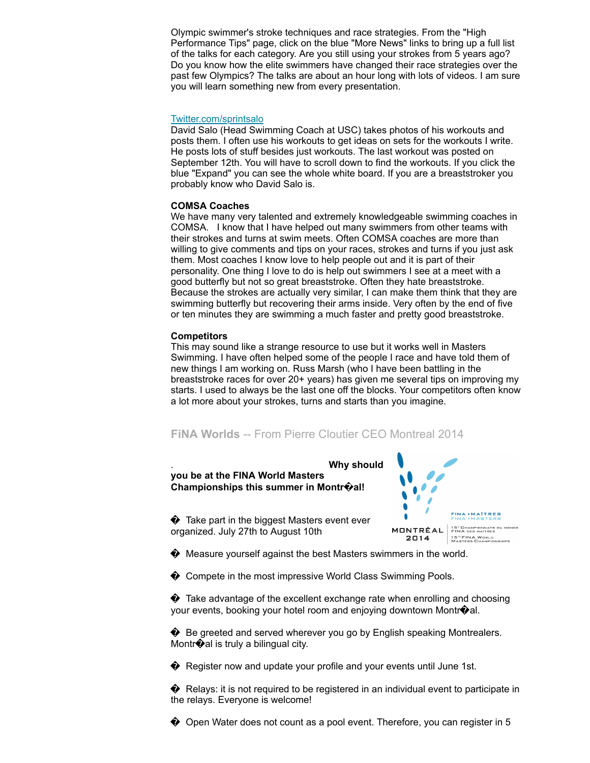Olympic swimmer's stroke techniques and race strategies. From the "High Performance Tips" page, click on the blue "More News" links to bring up a full list of the talks for each category. Are you still using your strokes from 5 years ago? Do you know how the elite swimmers have changed their race strategies over the past few Olympics? The talks are about an hour long with lots of videos. I am sure you will learn something new from every presentation.

#### [Twitter.com/sprintsalo](http://twitter.com/sprintsalo)

David Salo (Head Swimming Coach at USC) takes photos of his workouts and posts them. I often use his workouts to get ideas on sets for the workouts I write. He posts lots of stuff besides just workouts. The last workout was posted on September 12th. You will have to scroll down to find the workouts. If you click the blue "Expand" you can see the whole white board. If you are a breaststroker you probably know who David Salo is.

#### **COMSA Coaches**

We have many very talented and extremely knowledgeable swimming coaches in COMSA. I know that I have helped out many swimmers from other teams with their strokes and turns at swim meets. Often COMSA coaches are more than willing to give comments and tips on your races, strokes and turns if you just ask them. Most coaches I know love to help people out and it is part of their personality. One thing I love to do is help out swimmers I see at a meet with a good butterfly but not so great breaststroke. Often they hate breaststroke. Because the strokes are actually very similar, I can make them think that they are swimming butterfly but recovering their arms inside. Very often by the end of five or ten minutes they are swimming a much faster and pretty good breaststroke.

#### **Competitors**

This may sound like a strange resource to use but it works well in Masters Swimming. I have often helped some of the people I race and have told them of new things I am working on. Russ Marsh (who I have been battling in the breaststroke races for over 20+ years) has given me several tips on improving my starts. I used to always be the last one off the blocks. Your competitors often know a lot more about your strokes, turns and starts than you imagine.

# <span id="page-6-0"></span>**FiNA Worlds** -- From Pierre Cloutier CEO Montreal 2014



� Measure yourself against the best Masters swimmers in the world.

◆ Compete in the most impressive World Class Swimming Pools.

♦ Take advantage of the excellent exchange rate when enrolling and choosing your events, booking your hotel room and enjoying downtown Montr�al.

◆ Be greeted and served wherever you go by English speaking Montrealers. Montr $\bigcirc$ al is truly a bilingual city.

♦ Register now and update your profile and your events until June 1st.

 $\bullet$  Relays: it is not required to be registered in an individual event to participate in the relays. Everyone is welcome!

� Open Water does not count as a pool event. Therefore, you can register in 5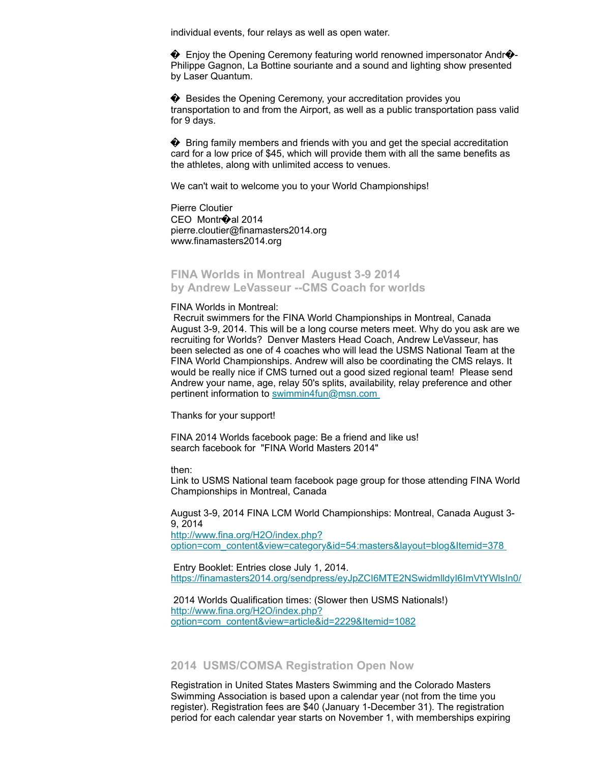individual events, four relays as well as open water.

 $\bullet$  Enjoy the Opening Ceremony featuring world renowned impersonator Andr $\bullet$ -Philippe Gagnon, La Bottine souriante and a sound and lighting show presented by Laser Quantum.

� Besides the Opening Ceremony, your accreditation provides you transportation to and from the Airport, as well as a public transportation pass valid for 9 days.

♦ Bring family members and friends with you and get the special accreditation card for a low price of \$45, which will provide them with all the same benefits as the athletes, along with unlimited access to venues.

We can't wait to welcome you to your World Championships!

Pierre Cloutier CEO Montr�al 2014 pierre.cloutier@finamasters2014.org www.finamasters2014.org

# <span id="page-7-0"></span>**FINA Worlds in Montreal August 3-9 2014 by Andrew LeVasseur --CMS Coach for worlds**

#### FINA Worlds in Montreal:

Recruit swimmers for the FINA World Championships in Montreal, Canada August 3-9, 2014. This will be a long course meters meet. Why do you ask are we recruiting for Worlds? Denver Masters Head Coach, Andrew LeVasseur, has been selected as one of 4 coaches who will lead the USMS National Team at the FINA World Championships. Andrew will also be coordinating the CMS relays. It would be really nice if CMS turned out a good sized regional team! Please send Andrew your name, age, relay 50's splits, availability, relay preference and other pertinent information to [swimmin4fun@msn.com](mailto:swimmin4fun@msn.com)

Thanks for your support!

FINA 2014 Worlds facebook page: Be a friend and like us! search facebook for "FINA World Masters 2014"

then:

Link to USMS National team facebook page group for those attending FINA World Championships in Montreal, Canada

August 3-9, 2014 FINA LCM World Championships: Montreal, Canada August 3- 9, 2014 http://www.fina.org/H2O/index.php?

[option=com\\_content&view=category&id=54:masters&layout=blog&Itemid=378](http://www.fina.org/H2O/index.php?option=com_content&view=category&id=54:masters&layout=blog&Itemid=378)

Entry Booklet: Entries close July 1, 2014. <https://finamasters2014.org/sendpress/eyJpZCI6MTE2NSwidmlldyI6ImVtYWlsIn0/>

2014 Worlds Qualification times: (Slower then USMS Nationals!) http://www.fina.org/H2O/index.php? [option=com\\_content&view=article&id=2229&Itemid=1082](http://www.fina.org/H2O/index.php?option=com_content&view=article&id=2229&Itemid=1082)

#### <span id="page-7-1"></span>**2014 USMS/COMSA Registration Open Now**

Registration in United States Masters Swimming and the Colorado Masters Swimming Association is based upon a calendar year (not from the time you register). Registration fees are \$40 (January 1-December 31). The registration period for each calendar year starts on November 1, with memberships expiring